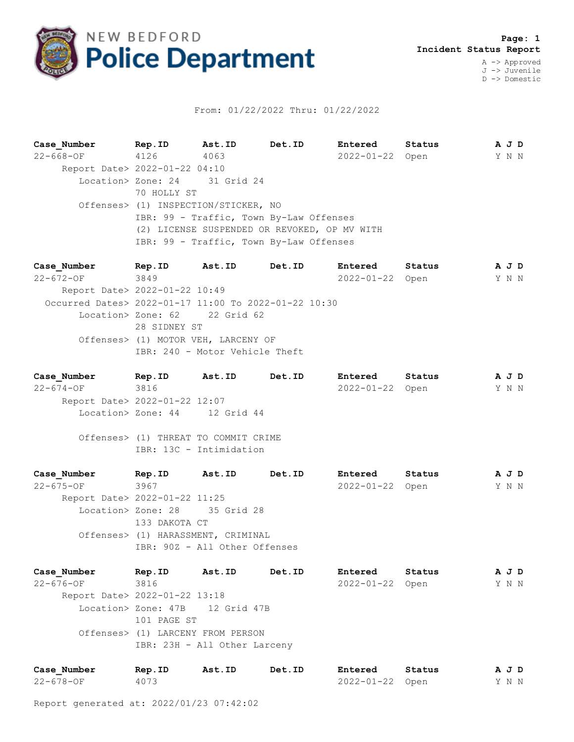

## From: 01/22/2022 Thru: 01/22/2022

**Case\_Number Rep.ID Ast.ID Det.ID Entered Status A J D** 22-668-OF 4126 4063 2022-01-22 Open Y N N Report Date> 2022-01-22 04:10 Location> Zone: 24 31 Grid 24 70 HOLLY ST Offenses> (1) INSPECTION/STICKER, NO IBR: 99 - Traffic, Town By-Law Offenses (2) LICENSE SUSPENDED OR REVOKED, OP MV WITH IBR: 99 - Traffic, Town By-Law Offenses

**Case\_Number Rep.ID Ast.ID Det.ID Entered Status A J D** 22-672-OF 3849 2022-01-22 Open Y N N Report Date> 2022-01-22 10:49 Occurred Dates> 2022-01-17 11:00 To 2022-01-22 10:30 Location> Zone: 62 22 Grid 62 28 SIDNEY ST Offenses> (1) MOTOR VEH, LARCENY OF IBR: 240 - Motor Vehicle Theft

**Case\_Number Rep.ID Ast.ID Det.ID Entered Status A J D** 22-674-OF 3816 2022-01-22 Open Y N N Report Date> 2022-01-22 12:07 Location> Zone: 44 12 Grid 44

 Offenses> (1) THREAT TO COMMIT CRIME IBR: 13C - Intimidation

**Case\_Number Rep.ID Ast.ID Det.ID Entered Status A J D** 22-675-OF 3967 2022-01-22 Open Y N N Report Date> 2022-01-22 11:25 Location> Zone: 28 35 Grid 28 133 DAKOTA CT Offenses> (1) HARASSMENT, CRIMINAL IBR: 90Z - All Other Offenses

**Case\_Number Rep.ID Ast.ID Det.ID Entered Status A J D** 22-676-OF 3816 2022-01-22 Open Y N N Report Date> 2022-01-22 13:18 Location> Zone: 47B 12 Grid 47B 101 PAGE ST Offenses> (1) LARCENY FROM PERSON IBR: 23H - All Other Larceny

| Case Number | Rep.ID | Ast.ID | Det.ID | Entered         | Status | AJD   |  |  |
|-------------|--------|--------|--------|-----------------|--------|-------|--|--|
| 22-678-OF   | 4073   |        |        | 2022-01-22 Open |        | Y N N |  |  |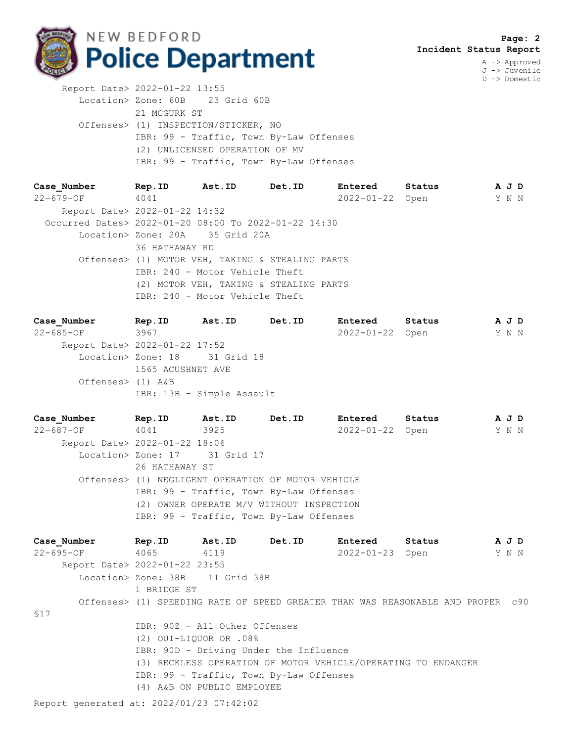

J -> Juvenile D -> Domestic

 Report Date> 2022-01-22 13:55 Location> Zone: 60B 23 Grid 60B 21 MCGURK ST Offenses> (1) INSPECTION/STICKER, NO IBR: 99 - Traffic, Town By-Law Offenses (2) UNLICENSED OPERATION OF MV IBR: 99 - Traffic, Town By-Law Offenses

**Case\_Number Rep.ID Ast.ID Det.ID Entered Status A J D** 22-679-OF 4041 2022-01-22 Open Y N N Report Date> 2022-01-22 14:32 Occurred Dates> 2022-01-20 08:00 To 2022-01-22 14:30 Location> Zone: 20A 35 Grid 20A 36 HATHAWAY RD Offenses> (1) MOTOR VEH, TAKING & STEALING PARTS IBR: 240 - Motor Vehicle Theft (2) MOTOR VEH, TAKING & STEALING PARTS IBR: 240 - Motor Vehicle Theft

**Case\_Number Rep.ID Ast.ID Det.ID Entered Status A J D** 22-685-OF 3967 2022-01-22 Open Y N N Report Date> 2022-01-22 17:52 Location> Zone: 18 31 Grid 18 1565 ACUSHNET AVE Offenses> (1) A&B IBR: 13B - Simple Assault

**Case\_Number Rep.ID Ast.ID Det.ID Entered Status A J D** 22-687-OF 4041 3925 2022-01-22 Open Y N N Report Date> 2022-01-22 18:06 Location> Zone: 17 31 Grid 17 26 HATHAWAY ST Offenses> (1) NEGLIGENT OPERATION OF MOTOR VEHICLE IBR: 99 - Traffic, Town By-Law Offenses (2) OWNER OPERATE M/V WITHOUT INSPECTION IBR: 99 - Traffic, Town By-Law Offenses

**Case\_Number Rep.ID Ast.ID Det.ID Entered Status A J D** 22-695-OF 4065 4119 2022-01-23 Open Y N N Report Date> 2022-01-22 23:55 Location> Zone: 38B 11 Grid 38B 1 BRIDGE ST Offenses> (1) SPEEDING RATE OF SPEED GREATER THAN WAS REASONABLE AND PROPER c90 §17 IBR: 90Z - All Other Offenses (2) OUI-LIQUOR OR .08% IBR: 90D - Driving Under the Influence (3) RECKLESS OPERATION OF MOTOR VEHICLE/OPERATING TO ENDANGER IBR: 99 - Traffic, Town By-Law Offenses (4) A&B ON PUBLIC EMPLOYEE